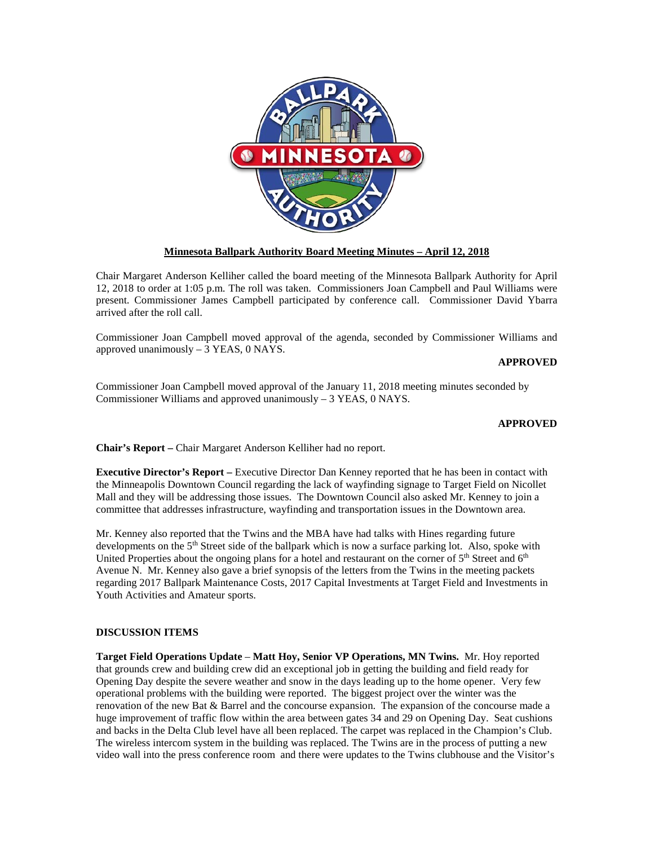

## **Minnesota Ballpark Authority Board Meeting Minutes – April 12, 2018**

Chair Margaret Anderson Kelliher called the board meeting of the Minnesota Ballpark Authority for April 12, 2018 to order at 1:05 p.m. The roll was taken. Commissioners Joan Campbell and Paul Williams were present. Commissioner James Campbell participated by conference call. Commissioner David Ybarra arrived after the roll call.

Commissioner Joan Campbell moved approval of the agenda, seconded by Commissioner Williams and approved unanimously – 3 YEAS, 0 NAYS.

## **APPROVED**

Commissioner Joan Campbell moved approval of the January 11, 2018 meeting minutes seconded by Commissioner Williams and approved unanimously – 3 YEAS, 0 NAYS.

## **APPROVED**

**Chair's Report –** Chair Margaret Anderson Kelliher had no report.

**Executive Director's Report –** Executive Director Dan Kenney reported that he has been in contact with the Minneapolis Downtown Council regarding the lack of wayfinding signage to Target Field on Nicollet Mall and they will be addressing those issues. The Downtown Council also asked Mr. Kenney to join a committee that addresses infrastructure, wayfinding and transportation issues in the Downtown area.

Mr. Kenney also reported that the Twins and the MBA have had talks with Hines regarding future developments on the 5<sup>th</sup> Street side of the ballpark which is now a surface parking lot. Also, spoke with United Properties about the ongoing plans for a hotel and restaurant on the corner of  $5<sup>th</sup>$  Street and  $6<sup>th</sup>$ Avenue N. Mr. Kenney also gave a brief synopsis of the letters from the Twins in the meeting packets regarding 2017 Ballpark Maintenance Costs, 2017 Capital Investments at Target Field and Investments in Youth Activities and Amateur sports.

## **DISCUSSION ITEMS**

**Target Field Operations Update** – **Matt Hoy, Senior VP Operations, MN Twins.** Mr. Hoy reported that grounds crew and building crew did an exceptional job in getting the building and field ready for Opening Day despite the severe weather and snow in the days leading up to the home opener. Very few operational problems with the building were reported. The biggest project over the winter was the renovation of the new Bat & Barrel and the concourse expansion. The expansion of the concourse made a huge improvement of traffic flow within the area between gates 34 and 29 on Opening Day. Seat cushions and backs in the Delta Club level have all been replaced. The carpet was replaced in the Champion's Club. The wireless intercom system in the building was replaced. The Twins are in the process of putting a new video wall into the press conference room and there were updates to the Twins clubhouse and the Visitor's